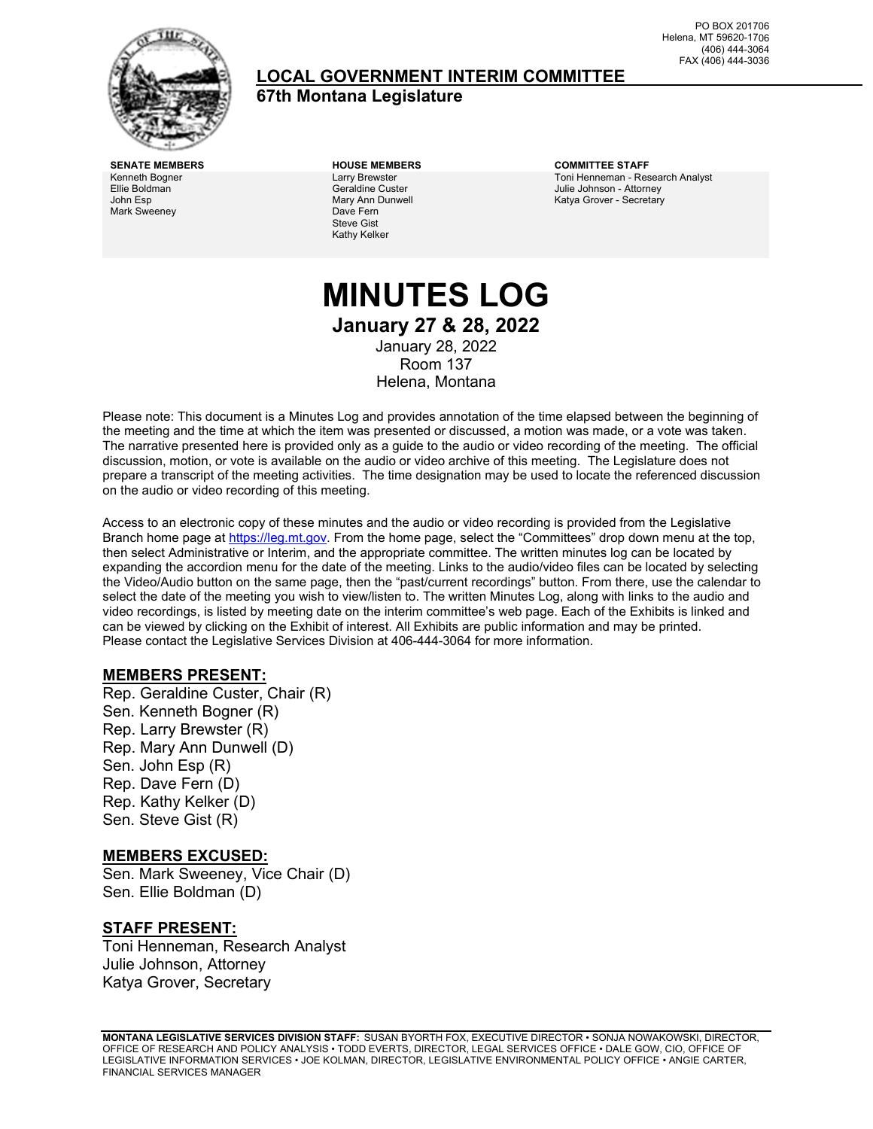

# **LOCAL GOVERNMENT INTERIM COMMITTEE**

**67th Montana Legislature**

PO BOX 201706 Helena, MT 59620-1706 (406) 444-3064 FAX (406) 444-3036

Kenneth Bogner Ellie Boldman John Esp Mark Sweeney

Larry Brewster Geraldine Custer Mary Ann Dunwell Dave Fern Steve Gist Kathy Kelker

**SENATE MEMBERS HOUSE MEMBERS COMMITTEE STAFF** Toni Henneman - Research Analyst Julie Johnson - Attorney Katya Grover - Secretary

# **MINUTES LOG January 27 & 28, 2022** January 28, 2022 Room 137 Helena, Montana

Please note: This document is a Minutes Log and provides annotation of the time elapsed between the beginning of the meeting and the time at which the item was presented or discussed, a motion was made, or a vote was taken. The narrative presented here is provided only as a guide to the audio or video recording of the meeting. The official discussion, motion, or vote is available on the audio or video archive of this meeting. The Legislature does not prepare a transcript of the meeting activities. The time designation may be used to locate the referenced discussion on the audio or video recording of this meeting.

Access to an electronic copy of these minutes and the audio or video recording is provided from the Legislative Branch home page a[t https://leg.mt.gov.](http://legmt.gov/) From the home page, select the "Committees" drop down menu at the top, then select Administrative or Interim, and the appropriate committee. The written minutes log can be located by expanding the accordion menu for the date of the meeting. Links to the audio/video files can be located by selecting the Video/Audio button on the same page, then the "past/current recordings" button. From there, use the calendar to select the date of the meeting you wish to view/listen to. The written Minutes Log, along with links to the audio and video recordings, is listed by meeting date on the interim committee's web page. Each of the Exhibits is linked and can be viewed by clicking on the Exhibit of interest. All Exhibits are public information and may be printed. Please contact the Legislative Services Division at 406-444-3064 for more information.

# **MEMBERS PRESENT:**

Rep. Geraldine Custer, Chair (R) Sen. Kenneth Bogner (R) Rep. Larry Brewster (R) Rep. Mary Ann Dunwell (D) Sen. John Esp (R) Rep. Dave Fern (D) Rep. Kathy Kelker (D) Sen. Steve Gist (R)

# **MEMBERS EXCUSED:**

Sen. Mark Sweeney, Vice Chair (D) Sen. Ellie Boldman (D)

#### **STAFF PRESENT:**

Toni Henneman, Research Analyst Julie Johnson, Attorney Katya Grover, Secretary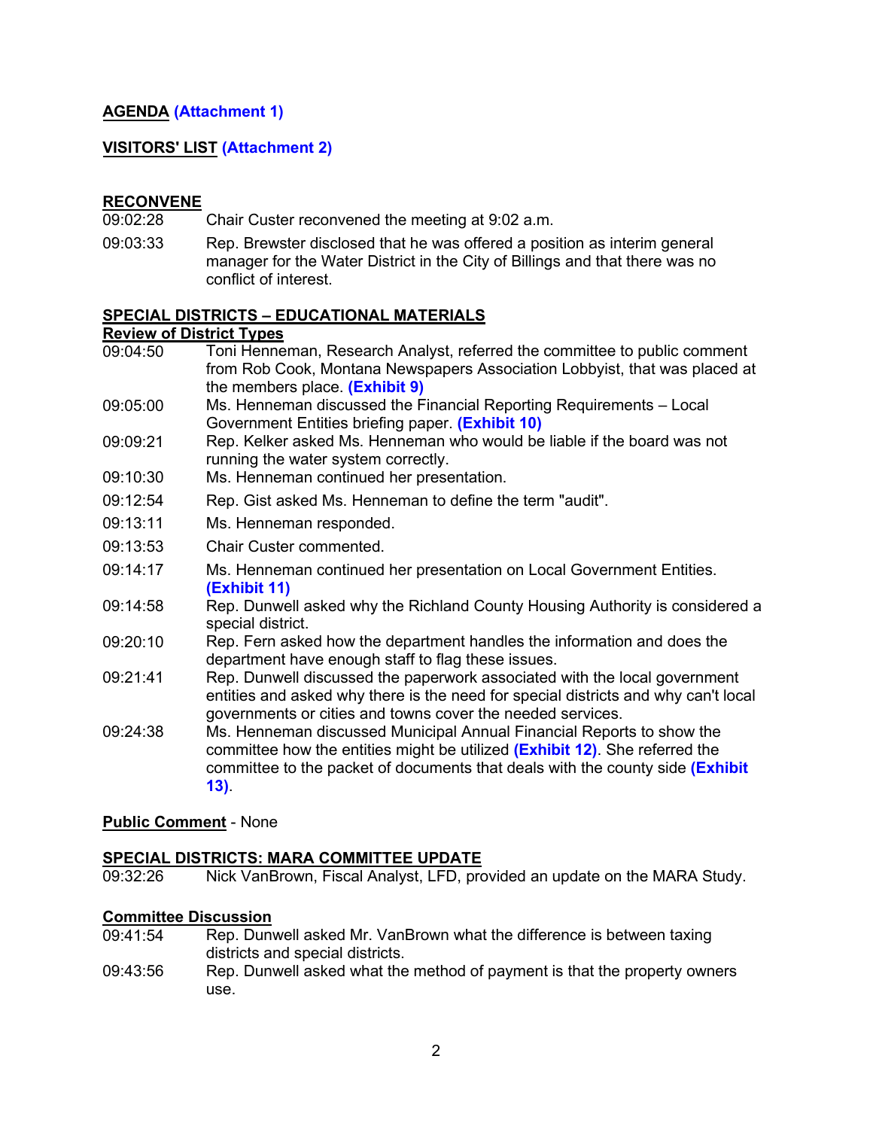# **AGENDA ([Attachment 1](https://leg.mt.gov/content/Committees/Interim/2021-2022/Local-Gov/22_Jan/LGIC_JanFINALAgenda.pdf))**

# **VISITORS' LIST [\(Attachment 2\)](https://leg.mt.gov/content/Committees/Interim/2021-2022/Local-Gov/22_Jan/jan-28-attachment2.pdf)**

# **RECONVENE**

- 09:02:28 Chair Custer reconvened the meeting at 9:02 a.m.
- 09:03:33 Rep. Brewster disclosed that he was offered a position as interim general manager for the Water District in the City of Billings and that there was no conflict of interest.

#### **SPECIAL DISTRICTS – EDUCATIONAL MATERIALS**

#### **Review of District Types**

09:04:50 09:05:00 09:09:21 09:10:30 09:12:54 09:13:11 09:13:53 09:14:17 09:14:58 09:20:10 09:21:41 09:24:38 Toni Henneman, Research Analyst, referred the committee to public comment from Rob Cook, Montana Newspapers Association Lobbyist, that was placed at the members place. **([Exhibit](https://leg.mt.gov/content/Committees/Interim/2021-2022/Local-Gov/22_Jan/PrintVDigitalEvidenceinCourt.pdf) 9)** Ms. Henneman discussed the Financial Reporting Requirements – Local Government Entities briefing paper. **[\(Exhibit](https://leg.mt.gov/content/Committees/Interim/2021-2022/Local-Gov/22_Jan/LGFinancialReporting.pdf) 10)** Rep. Kelker asked Ms. Henneman who would be liable if the board was not running the water system correctly. Ms. Henneman continued her presentation. Rep. Gist asked Ms. Henneman to define the term "audit". Ms. Henneman responded. Chair Custer commented. Ms. Henneman continued her presentation on Local Government Entities. **[\(Exhibit](https://leg.mt.gov/content/Committees/Interim/2021-2022/Local-Gov/22_Jan/LG_Entities_10-04-2021.pdf) 11)** Rep. Dunwell asked why the Richland County Housing Authority is considered a special district. Rep. Fern asked how the department handles the information and does the department have enough staff to flag these issues. Rep. Dunwell discussed the paperwork associated with the local government entities and asked why there is the need for special districts and why can't local governments or cities and towns cover the needed services. Ms. Henneman discussed Municipal Annual Financial Reports to show the committee how the entities might be utilized **[\(Exhibit](https://leg.mt.gov/content/Committees/Interim/2021-2022/Local-Gov/22_Jan/City_TownAFRs.pdf) 12)**. She referred the committee to the packet of documents that deals with the county side **[\(Exhibit](https://leg.mt.gov/content/Committees/Interim/2021-2022/Local-Gov/22_Jan/CountyTaxLevies.pdf)  [13\)](https://leg.mt.gov/content/Committees/Interim/2021-2022/Local-Gov/22_Jan/CountyTaxLevies.pdf)**.

# **Public Comment** - None

# **SPECIAL DISTRICTS: MARA COMMITTEE UPDATE**

09:32:26 Nick VanBrown, Fiscal Analyst, LFD, provided an update on the MARA Study.

# **Committee Discussion**

- 09:41:54 Rep. Dunwell asked Mr. VanBrown what the difference is between taxing districts and special districts.
- 09:43:56 Rep. Dunwell asked what the method of payment is that the property owners use.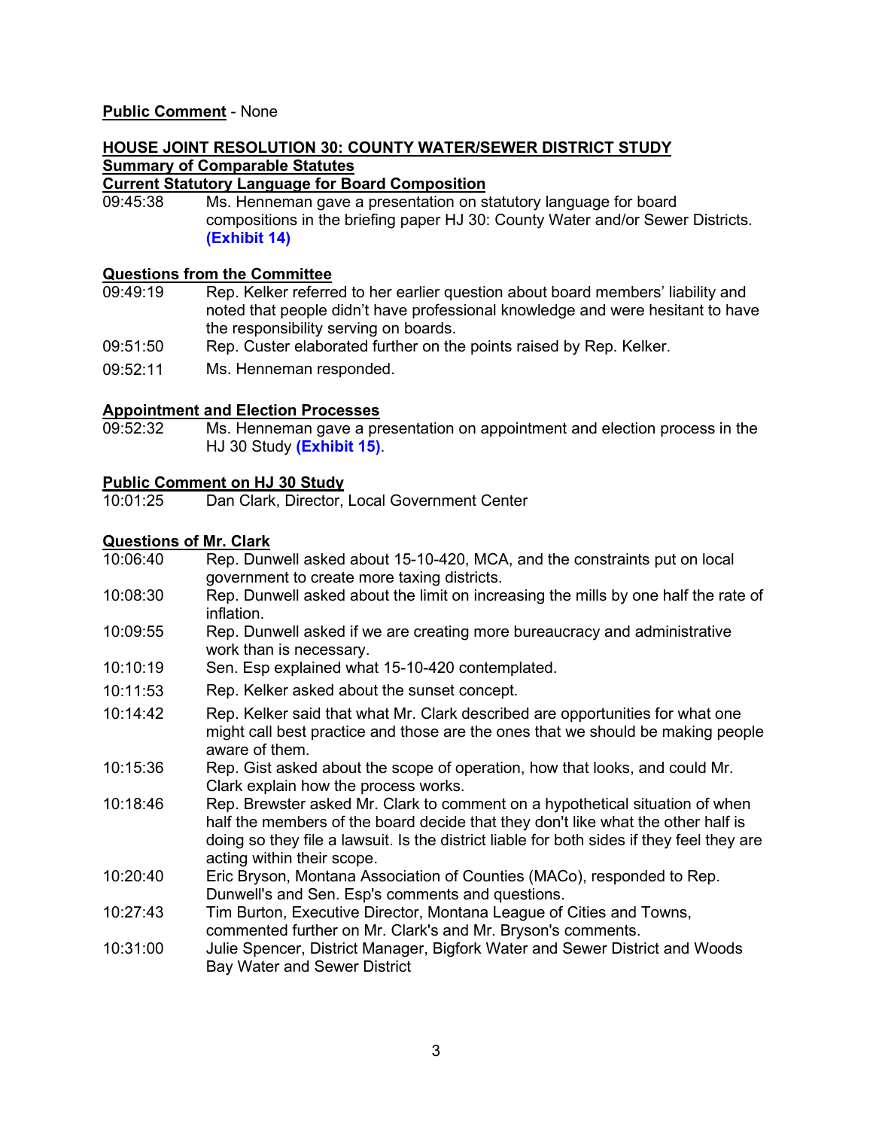#### **Public Comment** - None

# **HOUSE JOINT RESOLUTION 30: COUNTY WATER/SEWER DISTRICT STUDY Summary of Comparable Statutes**

# **Current Statutory Language for Board Composition**<br>09:45:38 Ms. Henneman gave a presentation on st

Ms. Henneman gave a presentation on statutory language for board compositions in the briefing paper HJ 30: County Water and/or Sewer Districts. **[\(Exhibit](https://leg.mt.gov/content/Committees/Interim/2021-2022/Local-Gov/22_Jan/HJ30BoardComp_Statutes.pdf) 14)**

# **Questions from the Committee**<br>09:49:19 Rep. Kelker referre

- Rep. Kelker referred to her earlier question about board members' liability and noted that people didn't have professional knowledge and were hesitant to have the responsibility serving on boards.
- 09:51:50 Rep. Custer elaborated further on the points raised by Rep. Kelker.
- 09:52:11 Ms. Henneman responded.

# **Appointment and Election Processes**<br>09:52:32 Ms. Henneman gave a pro-

Ms. Henneman gave a presentation on appointment and election process in the HJ 30 Study **[\(Exhibit](https://leg.mt.gov/content/Committees/Interim/2021-2022/Local-Gov/22_Jan/HJ30_ComparableStatutes.pdf) 15)**.

# **Public Comment on HJ 30 Study**

Dan Clark, Director, Local Government Center

# **Questions of Mr. Clark**<br>10:06:40 Rep. Duny

- Rep. Dunwell asked about 15-10-420, MCA, and the constraints put on local government to create more taxing districts.
- 10:08:30 Rep. Dunwell asked about the limit on increasing the mills by one half the rate of inflation.
- 10:09:55 Rep. Dunwell asked if we are creating more bureaucracy and administrative work than is necessary.
- 10:10:19 Sen. Esp explained what 15-10-420 contemplated.
- 10:11:53 Rep. Kelker asked about the sunset concept.
- 10:14:42 Rep. Kelker said that what Mr. Clark described are opportunities for what one might call best practice and those are the ones that we should be making people aware of them.
- 10:15:36 Rep. Gist asked about the scope of operation, how that looks, and could Mr. Clark explain how the process works.
- 10:18:46 Rep. Brewster asked Mr. Clark to comment on a hypothetical situation of when half the members of the board decide that they don't like what the other half is doing so they file a lawsuit. Is the district liable for both sides if they feel they are acting within their scope.
- 10:20:40 Eric Bryson, Montana Association of Counties (MACo), responded to Rep. Dunwell's and Sen. Esp's comments and questions.
- 10:27:43 Tim Burton, Executive Director, Montana League of Cities and Towns, commented further on Mr. Clark's and Mr. Bryson's comments.
- 10:31:00 Julie Spencer, District Manager, Bigfork Water and Sewer District and Woods Bay Water and Sewer District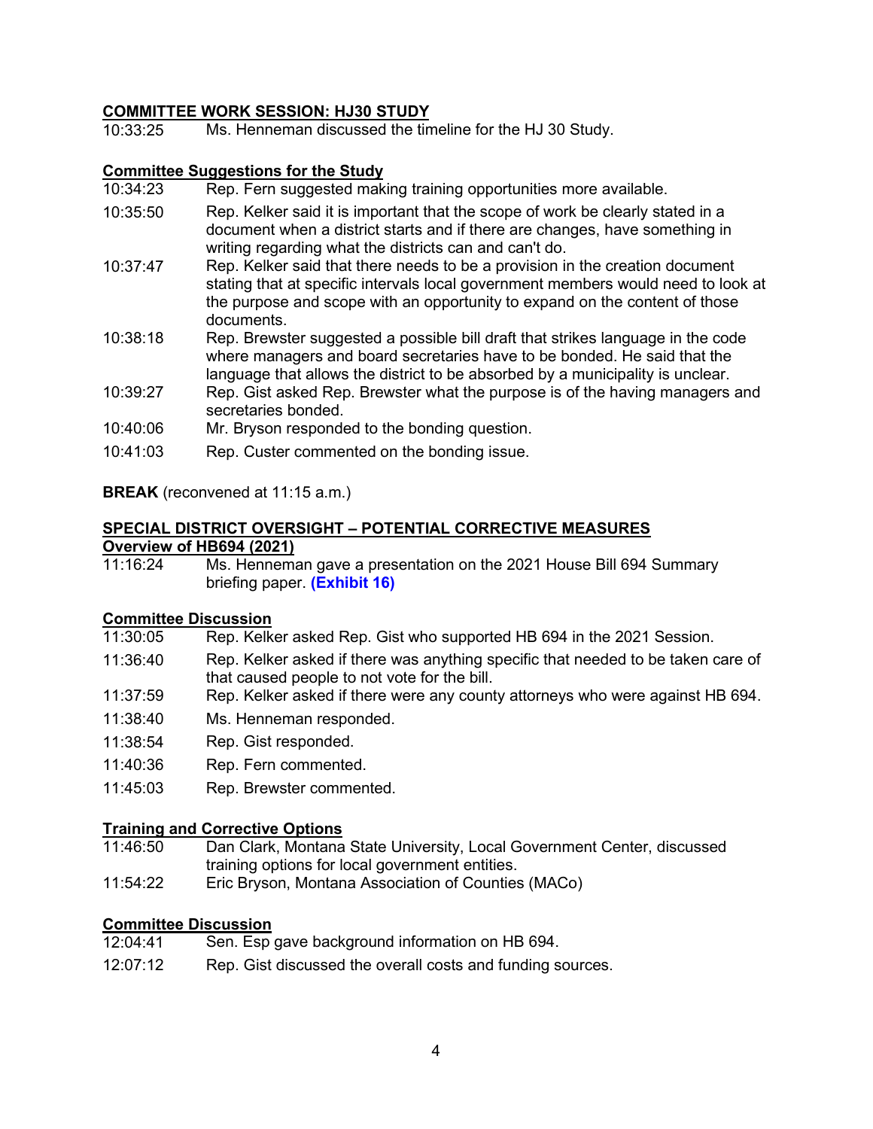# **COMMITTEE WORK SESSION: HJ30 STUDY**

10:33:25 Ms. Henneman discussed the timeline for the HJ 30 Study.

#### **Committee Suggestions for the Study**

- 10:34:23 Rep. Fern suggested making training opportunities more available.
- 10:35:50 Rep. Kelker said it is important that the scope of work be clearly stated in a document when a district starts and if there are changes, have something in writing regarding what the districts can and can't do.
- 10:37:47 Rep. Kelker said that there needs to be a provision in the creation document stating that at specific intervals local government members would need to look at the purpose and scope with an opportunity to expand on the content of those documents.
- 10:38:18 Rep. Brewster suggested a possible bill draft that strikes language in the code where managers and board secretaries have to be bonded. He said that the language that allows the district to be absorbed by a municipality is unclear.
- 10:39:27 Rep. Gist asked Rep. Brewster what the purpose is of the having managers and secretaries bonded.
- 10:40:06 Mr. Bryson responded to the bonding question.
- 10:41:03 Rep. Custer commented on the bonding issue.

#### **BREAK** (reconvened at 11:15 a.m.)

# **SPECIAL DISTRICT OVERSIGHT – POTENTIAL CORRECTIVE MEASURES Overview of HB694 (2021)**

Ms. Henneman gave a presentation on the 2021 House Bill 694 Summary briefing paper. **([Exhibit](https://leg.mt.gov/content/Committees/Interim/2021-2022/Local-Gov/22_Jan/HB694Summary.pdf) 16)**

#### **Committee Discussion**

- 11:30:05 Rep. Kelker asked Rep. Gist who supported HB 694 in the 2021 Session.
- 11:36:40 Rep. Kelker asked if there was anything specific that needed to be taken care of that caused people to not vote for the bill.
- 11:37:59 Rep. Kelker asked if there were any county attorneys who were against HB 694.
- 11:38:40 Ms. Henneman responded.
- 11:38:54 Rep. Gist responded.
- 11:40:36 Rep. Fern commented.
- 11:45:03 Rep. Brewster commented.

# **Training and Corrective Options**<br>11:46:50 Dan Clark, Montana

- Dan Clark, Montana State University, Local Government Center, discussed training options for local government entities.
- 11:54:22 Eric Bryson, Montana Association of Counties (MACo)

# **Committee Discussion**<br>12:04:41 **Sen. Esp**

- Sen. Esp gave background information on HB 694.
- 12:07:12 Rep. Gist discussed the overall costs and funding sources.